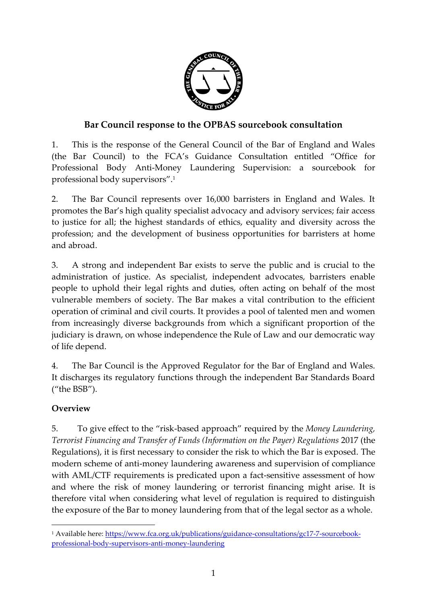

# **Bar Council response to the OPBAS sourcebook consultation**

1. This is the response of the General Council of the Bar of England and Wales (the Bar Council) to the FCA's Guidance Consultation entitled "Office for Professional Body Anti-Money Laundering Supervision: a sourcebook for professional body supervisors".<sup>1</sup>

2. The Bar Council represents over 16,000 barristers in England and Wales. It promotes the Bar's high quality specialist advocacy and advisory services; fair access to justice for all; the highest standards of ethics, equality and diversity across the profession; and the development of business opportunities for barristers at home and abroad.

3. A strong and independent Bar exists to serve the public and is crucial to the administration of justice. As specialist, independent advocates, barristers enable people to uphold their legal rights and duties, often acting on behalf of the most vulnerable members of society. The Bar makes a vital contribution to the efficient operation of criminal and civil courts. It provides a pool of talented men and women from increasingly diverse backgrounds from which a significant proportion of the judiciary is drawn, on whose independence the Rule of Law and our democratic way of life depend.

4. The Bar Council is the Approved Regulator for the Bar of England and Wales. It discharges its regulatory functions through the independent Bar Standards Board ("the BSB").

# **Overview**

1

5. To give effect to the "risk-based approach" required by the *Money Laundering, Terrorist Financing and Transfer of Funds (Information on the Payer) Regulations* 2017 (the Regulations), it is first necessary to consider the risk to which the Bar is exposed. The modern scheme of anti-money laundering awareness and supervision of compliance with AML/CTF requirements is predicated upon a fact-sensitive assessment of how and where the risk of money laundering or terrorist financing might arise. It is therefore vital when considering what level of regulation is required to distinguish the exposure of the Bar to money laundering from that of the legal sector as a whole.

<sup>1</sup> Available here: [https://www.fca.org.uk/publications/guidance-consultations/gc17-7-sourcebook](https://www.fca.org.uk/publications/guidance-consultations/gc17-7-sourcebook-professional-body-supervisors-anti-money-laundering)[professional-body-supervisors-anti-money-laundering](https://www.fca.org.uk/publications/guidance-consultations/gc17-7-sourcebook-professional-body-supervisors-anti-money-laundering)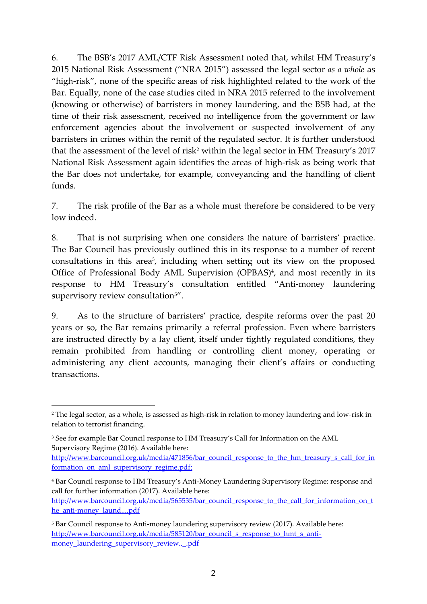6. The BSB's 2017 AML/CTF Risk Assessment noted that, whilst HM Treasury's 2015 National Risk Assessment ("NRA 2015") assessed the legal sector *as a whole* as "high-risk", none of the specific areas of risk highlighted related to the work of the Bar. Equally, none of the case studies cited in NRA 2015 referred to the involvement (knowing or otherwise) of barristers in money laundering, and the BSB had, at the time of their risk assessment, received no intelligence from the government or law enforcement agencies about the involvement or suspected involvement of any barristers in crimes within the remit of the regulated sector. It is further understood that the assessment of the level of risk<sup>2</sup> within the legal sector in HM Treasury's 2017 National Risk Assessment again identifies the areas of high-risk as being work that the Bar does not undertake, for example, conveyancing and the handling of client funds.

7. The risk profile of the Bar as a whole must therefore be considered to be very low indeed.

8. That is not surprising when one considers the nature of barristers' practice. The Bar Council has previously outlined this in its response to a number of recent consultations in this area<sup>3</sup>, including when setting out its view on the proposed Office of Professional Body AML Supervision (OPBAS)<sup>4</sup>, and most recently in its response to HM Treasury's consultation entitled "Anti-money laundering supervisory review consultation<sup>5"</sup>.

9. As to the structure of barristers' practice, despite reforms over the past 20 years or so, the Bar remains primarily a referral profession. Even where barristers are instructed directly by a lay client, itself under tightly regulated conditions, they remain prohibited from handling or controlling client money, operating or administering any client accounts, managing their client's affairs or conducting transactions.

1

<sup>2</sup> The legal sector, as a whole, is assessed as high-risk in relation to money laundering and low-risk in relation to terrorist financing.

<sup>3</sup> See for example Bar Council response to HM Treasury's Call for Information on the AML Supervisory Regime (2016). Available here:

[http://www.barcouncil.org.uk/media/471856/bar\\_council\\_response\\_to\\_the\\_hm\\_treasury\\_s\\_call\\_for\\_in](http://www.barcouncil.org.uk/media/471856/bar_council_response_to_the_hm_treasury_s_call_for_information_on_aml_supervisory_regime.pdf) formation on aml supervisory regime.pdf;

<sup>4</sup> Bar Council response to HM Treasury's Anti-Money Laundering Supervisory Regime: response and call for further information (2017). Available here:

[http://www.barcouncil.org.uk/media/565535/bar\\_council\\_response\\_to\\_the\\_call\\_for\\_information\\_on\\_t](http://www.barcouncil.org.uk/media/565535/bar_council_response_to_the_call_for_information_on_the_anti-money_laund....pdf) [he\\_anti-money\\_laund....pdf](http://www.barcouncil.org.uk/media/565535/bar_council_response_to_the_call_for_information_on_the_anti-money_laund....pdf)

<sup>5</sup> Bar Council response to Anti-money laundering supervisory review (2017). Available here: [http://www.barcouncil.org.uk/media/585120/bar\\_council\\_s\\_response\\_to\\_hmt\\_s\\_anti](http://www.barcouncil.org.uk/media/585120/bar_council_s_response_to_hmt_s_anti-money_laundering_supervisory_review.._.pdf)[money\\_laundering\\_supervisory\\_review..\\_.pdf](http://www.barcouncil.org.uk/media/585120/bar_council_s_response_to_hmt_s_anti-money_laundering_supervisory_review.._.pdf)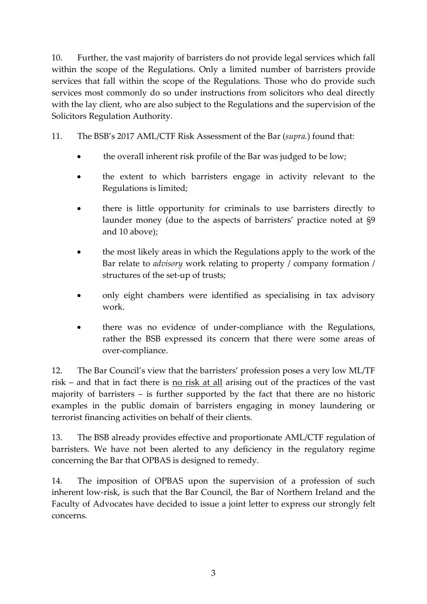10. Further, the vast majority of barristers do not provide legal services which fall within the scope of the Regulations. Only a limited number of barristers provide services that fall within the scope of the Regulations. Those who do provide such services most commonly do so under instructions from solicitors who deal directly with the lay client, who are also subject to the Regulations and the supervision of the Solicitors Regulation Authority.

11. The BSB's 2017 AML/CTF Risk Assessment of the Bar (*supra.*) found that:

- the overall inherent risk profile of the Bar was judged to be low;
- the extent to which barristers engage in activity relevant to the Regulations is limited;
- there is little opportunity for criminals to use barristers directly to launder money (due to the aspects of barristers' practice noted at §9 and 10 above);
- the most likely areas in which the Regulations apply to the work of the Bar relate to *advisory* work relating to property / company formation / structures of the set-up of trusts;
- only eight chambers were identified as specialising in tax advisory work.
- there was no evidence of under-compliance with the Regulations, rather the BSB expressed its concern that there were some areas of over-compliance.

12. The Bar Council's view that the barristers' profession poses a very low ML/TF risk – and that in fact there is no risk at all arising out of the practices of the vast majority of barristers – is further supported by the fact that there are no historic examples in the public domain of barristers engaging in money laundering or terrorist financing activities on behalf of their clients.

13. The BSB already provides effective and proportionate AML/CTF regulation of barristers. We have not been alerted to any deficiency in the regulatory regime concerning the Bar that OPBAS is designed to remedy.

14. The imposition of OPBAS upon the supervision of a profession of such inherent low-risk, is such that the Bar Council, the Bar of Northern Ireland and the Faculty of Advocates have decided to issue a joint letter to express our strongly felt concerns.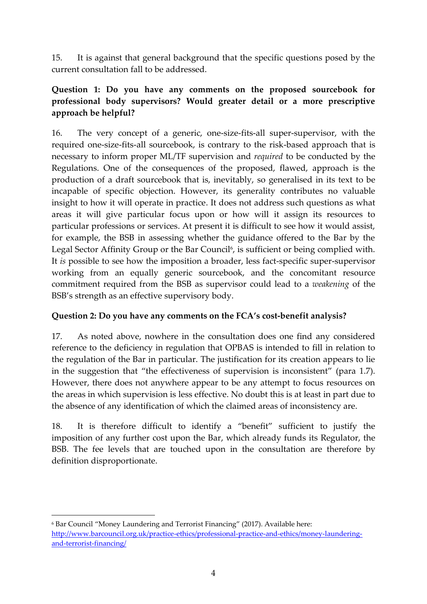15. It is against that general background that the specific questions posed by the current consultation fall to be addressed.

# **Question 1: Do you have any comments on the proposed sourcebook for professional body supervisors? Would greater detail or a more prescriptive approach be helpful?**

16. The very concept of a generic, one-size-fits-all super-supervisor, with the required one-size-fits-all sourcebook, is contrary to the risk-based approach that is necessary to inform proper ML/TF supervision and *required* to be conducted by the Regulations. One of the consequences of the proposed, flawed, approach is the production of a draft sourcebook that is, inevitably, so generalised in its text to be incapable of specific objection. However, its generality contributes no valuable insight to how it will operate in practice. It does not address such questions as what areas it will give particular focus upon or how will it assign its resources to particular professions or services. At present it is difficult to see how it would assist, for example, the BSB in assessing whether the guidance offered to the Bar by the Legal Sector Affinity Group or the Bar Council<sup>6</sup>, is sufficient or being complied with. It *is* possible to see how the imposition a broader, less fact-specific super-supervisor working from an equally generic sourcebook, and the concomitant resource commitment required from the BSB as supervisor could lead to a *weakening* of the BSB's strength as an effective supervisory body.

# **Question 2: Do you have any comments on the FCA's cost-benefit analysis?**

17. As noted above, nowhere in the consultation does one find any considered reference to the deficiency in regulation that OPBAS is intended to fill in relation to the regulation of the Bar in particular. The justification for its creation appears to lie in the suggestion that "the effectiveness of supervision is inconsistent" (para 1.7). However, there does not anywhere appear to be any attempt to focus resources on the areas in which supervision is less effective. No doubt this is at least in part due to the absence of any identification of which the claimed areas of inconsistency are.

18. It is therefore difficult to identify a "benefit" sufficient to justify the imposition of any further cost upon the Bar, which already funds its Regulator, the BSB. The fee levels that are touched upon in the consultation are therefore by definition disproportionate.

 $\overline{a}$ 

<sup>6</sup> Bar Council "Money Laundering and Terrorist Financing" (2017). Available here: [http://www.barcouncil.org.uk/practice-ethics/professional-practice-and-ethics/money-laundering](http://www.barcouncil.org.uk/practice-ethics/professional-practice-and-ethics/money-laundering-and-terrorist-financing/)[and-terrorist-financing/](http://www.barcouncil.org.uk/practice-ethics/professional-practice-and-ethics/money-laundering-and-terrorist-financing/)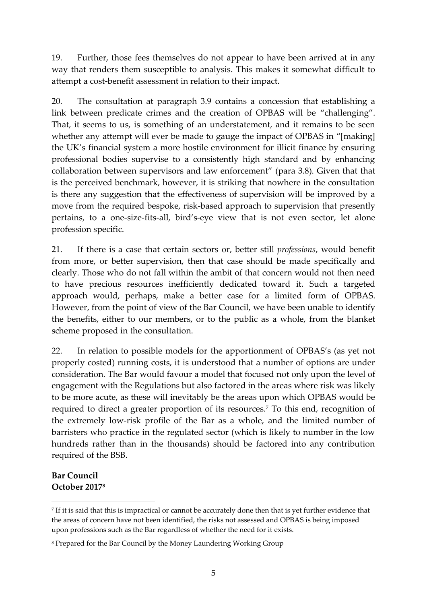19. Further, those fees themselves do not appear to have been arrived at in any way that renders them susceptible to analysis. This makes it somewhat difficult to attempt a cost-benefit assessment in relation to their impact.

20. The consultation at paragraph 3.9 contains a concession that establishing a link between predicate crimes and the creation of OPBAS will be "challenging". That, it seems to us, is something of an understatement, and it remains to be seen whether any attempt will ever be made to gauge the impact of OPBAS in "[making] the UK's financial system a more hostile environment for illicit finance by ensuring professional bodies supervise to a consistently high standard and by enhancing collaboration between supervisors and law enforcement" (para 3.8). Given that that is the perceived benchmark, however, it is striking that nowhere in the consultation is there any suggestion that the effectiveness of supervision will be improved by a move from the required bespoke, risk-based approach to supervision that presently pertains, to a one-size-fits-all, bird's-eye view that is not even sector, let alone profession specific.

21. If there is a case that certain sectors or, better still *professions*, would benefit from more, or better supervision, then that case should be made specifically and clearly. Those who do not fall within the ambit of that concern would not then need to have precious resources inefficiently dedicated toward it. Such a targeted approach would, perhaps, make a better case for a limited form of OPBAS. However, from the point of view of the Bar Council, we have been unable to identify the benefits, either to our members, or to the public as a whole, from the blanket scheme proposed in the consultation.

22. In relation to possible models for the apportionment of OPBAS's (as yet not properly costed) running costs, it is understood that a number of options are under consideration. The Bar would favour a model that focused not only upon the level of engagement with the Regulations but also factored in the areas where risk was likely to be more acute, as these will inevitably be the areas upon which OPBAS would be required to direct a greater proportion of its resources.<sup>7</sup> To this end, recognition of the extremely low-risk profile of the Bar as a whole, and the limited number of barristers who practice in the regulated sector (which is likely to number in the low hundreds rather than in the thousands) should be factored into any contribution required of the BSB.

# **Bar Council October 2017<sup>8</sup>**

1

<sup>7</sup> If it is said that this is impractical or cannot be accurately done then that is yet further evidence that the areas of concern have not been identified, the risks not assessed and OPBAS is being imposed upon professions such as the Bar regardless of whether the need for it exists.

<sup>8</sup> Prepared for the Bar Council by the Money Laundering Working Group